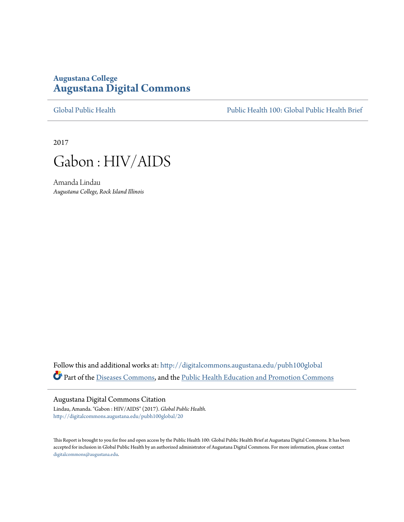# **Augustana College [Augustana Digital Commons](http://digitalcommons.augustana.edu?utm_source=digitalcommons.augustana.edu%2Fpubh100global%2F20&utm_medium=PDF&utm_campaign=PDFCoverPages)**

[Global Public Health](http://digitalcommons.augustana.edu/pubh100global?utm_source=digitalcommons.augustana.edu%2Fpubh100global%2F20&utm_medium=PDF&utm_campaign=PDFCoverPages) [Public Health 100: Global Public Health Brief](http://digitalcommons.augustana.edu/pubh100?utm_source=digitalcommons.augustana.edu%2Fpubh100global%2F20&utm_medium=PDF&utm_campaign=PDFCoverPages)

2017



Amanda Lindau *Augustana College, Rock Island Illinois*

Follow this and additional works at: [http://digitalcommons.augustana.edu/pubh100global](http://digitalcommons.augustana.edu/pubh100global?utm_source=digitalcommons.augustana.edu%2Fpubh100global%2F20&utm_medium=PDF&utm_campaign=PDFCoverPages) Part of the [Diseases Commons](http://network.bepress.com/hgg/discipline/813?utm_source=digitalcommons.augustana.edu%2Fpubh100global%2F20&utm_medium=PDF&utm_campaign=PDFCoverPages), and the [Public Health Education and Promotion Commons](http://network.bepress.com/hgg/discipline/743?utm_source=digitalcommons.augustana.edu%2Fpubh100global%2F20&utm_medium=PDF&utm_campaign=PDFCoverPages)

### Augustana Digital Commons Citation

Lindau, Amanda. "Gabon : HIV/AIDS" (2017). *Global Public Health.* [http://digitalcommons.augustana.edu/pubh100global/20](http://digitalcommons.augustana.edu/pubh100global/20?utm_source=digitalcommons.augustana.edu%2Fpubh100global%2F20&utm_medium=PDF&utm_campaign=PDFCoverPages)

This Report is brought to you for free and open access by the Public Health 100: Global Public Health Brief at Augustana Digital Commons. It has been accepted for inclusion in Global Public Health by an authorized administrator of Augustana Digital Commons. For more information, please contact [digitalcommons@augustana.edu.](mailto:digitalcommons@augustana.edu)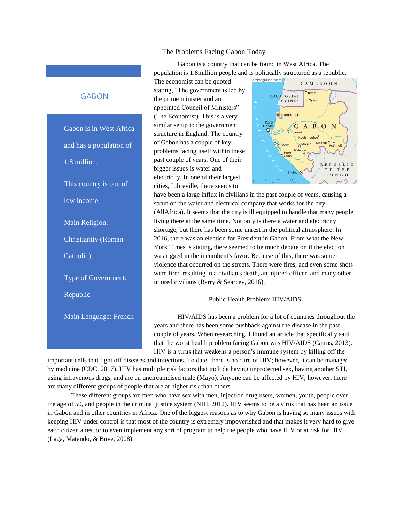#### The Problems Facing Gabon Today

Gabon is a country that can be found in West Africa. The population is 1.8million people and is politically structured as a republic.

The economist can be quoted stating, "The government is led by the prime minister and an appointed Council of Ministers" (The Economist). This is a very similar setup to the government structure in England. The country of Gabon has a couple of key problems facing itself within these past couple of years. One of their bigger issues is water and electricity. In one of their largest cities, Libreville, there seems to



have been a large influx in civilians in the past couple of years, causing a strain on the water and electrical company that works for the city (AllAfrica). It seems that the city is ill equipped to handle that many people living there at the same time. Not only is there a water and electricity shortage, but there has been some unrest in the political atmosphere. In 2016, there was an election for President in Gabon. From what the New York Times is stating, there seemed to be much debate on if the election was rigged in the incumbent's favor. Because of this, there was some violence that occurred on the streets. There were fires, and even some shots were fired resulting in a civilian's death, an injured officer, and many other injured civilians (Barry & Searcey, 2016).

#### Public Health Problem: HIV/AIDS

HIV/AIDS has been a problem for a lot of countries throughout the years and there has been some pushback against the disease in the past couple of years. When researching, I found an article that specifically said that the worst health problem facing Gabon was HIV/AIDS (Cairns, 2013). HIV is a virus that weakens a person's immune system by killing off the

important cells that fight off diseases and infections. To date, there is no cure of HIV; however, it can be managed by medicine (CDC, 2017). HIV has multiple risk factors that include having unprotected sex, having another STI, using intravenous drugs, and are an uncircumcised male (Mayo). Anyone can be affected by HIV; however, there are many different groups of people that are at higher risk than others.

These different groups are men who have sex with men, injection drug users, women, youth, people over the age of 50, and people in the criminal justice system (NIH, 2012). HIV seems to be a virus that has been an issue in Gabon and in other countries in Africa. One of the biggest reasons as to why Gabon is having so many issues with keeping HIV under control is that most of the country is extremely impoverished and that makes it very hard to give each citizen a test or to even implement any sort of program to help the people who have HIV or at risk for HIV. (Laga, Matendo, & Buve, 2008).

## GABON

Gabon is in West Africa and has a population of 1.8 million. This country is one of low income. Main Religion: Christianity (Roman Catholic) Type of Government: Republic Main Language: French